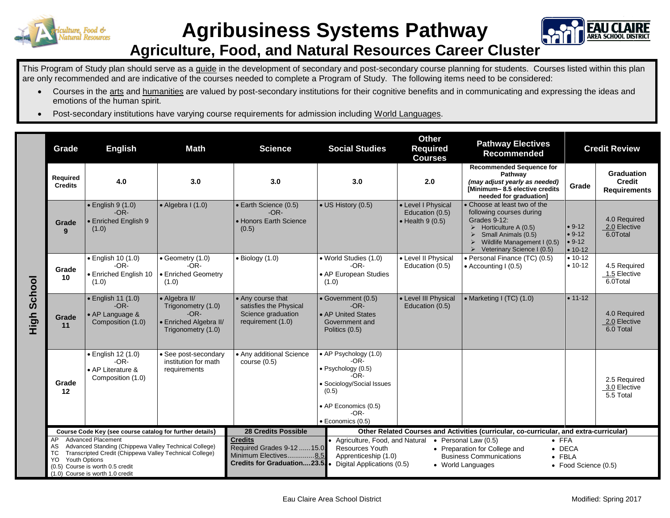



## **Agriculture, Food, and Natural Resources Career Cluster**

This Program of Study plan should serve as a guide in the development of secondary and post-secondary course planning for students. Courses listed within this plan are only recommended and are indicative of the courses needed to complete a Program of Study. The following items need to be considered:

- Courses in the arts and humanities are valued by post-secondary institutions for their cognitive benefits and in communicating and expressing the ideas and emotions of the human spirit.
- Post-secondary institutions have varying course requirements for admission including World Languages.

|                | Grade                                                                                                                                                                                                                                    | <b>English</b>                                                            | <b>Math</b>                                                                                   | <b>Science</b>                                                                                                                                                                                                                                                                                                                                                                                                                     | <b>Social Studies</b>                                                                                                                                            | <b>Other</b><br><b>Required</b><br><b>Courses</b>                 | <b>Pathway Electives</b><br><b>Recommended</b>                                                                                                                                                                                                     | <b>Credit Review</b>                          |                                                           |
|----------------|------------------------------------------------------------------------------------------------------------------------------------------------------------------------------------------------------------------------------------------|---------------------------------------------------------------------------|-----------------------------------------------------------------------------------------------|------------------------------------------------------------------------------------------------------------------------------------------------------------------------------------------------------------------------------------------------------------------------------------------------------------------------------------------------------------------------------------------------------------------------------------|------------------------------------------------------------------------------------------------------------------------------------------------------------------|-------------------------------------------------------------------|----------------------------------------------------------------------------------------------------------------------------------------------------------------------------------------------------------------------------------------------------|-----------------------------------------------|-----------------------------------------------------------|
|                | Required<br><b>Credits</b>                                                                                                                                                                                                               | 4.0                                                                       | 3.0                                                                                           | 3.0                                                                                                                                                                                                                                                                                                                                                                                                                                | 3.0                                                                                                                                                              | 2.0                                                               | <b>Recommended Sequence for</b><br>Pathway<br>(may adjust yearly as needed)<br>IMinimum-8.5 elective credits<br>needed for graduation]                                                                                                             | Grade                                         | <b>Graduation</b><br><b>Credit</b><br><b>Requirements</b> |
|                | Grade<br>9                                                                                                                                                                                                                               | $\bullet$ English 9 (1.0)<br>$-OR-$<br><b>Enriched English 9</b><br>(1.0) | $\bullet$ Algebra I (1.0)                                                                     | · Earth Science (0.5)<br>$-OR-$<br>• Honors Earth Science<br>(0.5)                                                                                                                                                                                                                                                                                                                                                                 | • US History (0.5)                                                                                                                                               | • Level I Physical<br>Education (0.5)<br>$\bullet$ Health 9 (0.5) | • Choose at least two of the<br>following courses during<br>Grades 9-12:<br>$\triangleright$ Horticulture A (0.5)<br>$\triangleright$<br>Small Animals (0.5)<br>Wildlife Management I (0.5)<br>$\blacktriangleright$<br>Veterinary Science I (0.5) | $• 9-12$<br>$• 9-12$<br>$• 9-12$<br>$• 10-12$ | 4.0 Required<br>2.0 Elective<br>6.0Total                  |
| School<br>High | Grade<br>10                                                                                                                                                                                                                              | · English 10 (1.0)<br>$-OR-$<br>• Enriched English 10<br>(1.0)            | $\bullet$ Geometry (1.0)<br>$-OR-$<br>• Enriched Geometry<br>(1.0)                            | $\bullet$ Biology (1.0)                                                                                                                                                                                                                                                                                                                                                                                                            | • World Studies (1.0)<br>$-OR-$<br>• AP European Studies<br>(1.0)                                                                                                | • Level II Physical<br>Education (0.5)                            | • Personal Finance (TC) (0.5)<br>$\bullet$ Accounting I (0.5)                                                                                                                                                                                      | $• 10-12$<br>$• 10-12$                        | 4.5 Required<br>1.5 Elective<br>6.0Total                  |
|                | Grade<br>11                                                                                                                                                                                                                              | • English 11 (1.0)<br>$-OR-$<br>• AP Language &<br>Composition (1.0)      | • Algebra II/<br>Trigonometry (1.0)<br>$-OR-$<br>· Enriched Algebra II/<br>Trigonometry (1.0) | • Any course that<br>satisfies the Physical<br>Science graduation<br>requirement (1.0)                                                                                                                                                                                                                                                                                                                                             | • Government (0.5)<br>$-OR-$<br>• AP United States<br>Government and<br>Politics (0.5)                                                                           | • Level III Physical<br>Education (0.5)                           | • Marketing I (TC) (1.0)                                                                                                                                                                                                                           | $• 11-12$                                     | 4.0 Required<br>2.0 Elective<br>6.0 Total                 |
|                | Grade<br>12                                                                                                                                                                                                                              | · English 12 (1.0)<br>$-OR-$<br>• AP Literature &<br>Composition (1.0)    | • See post-secondary<br>institution for math<br>requirements                                  | • Any additional Science<br>course $(0.5)$                                                                                                                                                                                                                                                                                                                                                                                         | • AP Psychology (1.0)<br>-OR-<br>$\bullet$ Psychology (0.5)<br>-OR-<br>· Sociology/Social Issues<br>(0.5)<br>• AP Economics (0.5)<br>$-OR-$<br>· Economics (0.5) |                                                                   |                                                                                                                                                                                                                                                    |                                               | 2.5 Required<br>3.0 Elective<br>5.5 Total                 |
|                | Course Code Key (see course catalog for further details)<br><b>Advanced Placement</b>                                                                                                                                                    |                                                                           | <b>28 Credits Possible</b>                                                                    | Other Related Courses and Activities (curricular, co-curricular, and extra-curricular)                                                                                                                                                                                                                                                                                                                                             |                                                                                                                                                                  |                                                                   |                                                                                                                                                                                                                                                    |                                               |                                                           |
|                | AP<br>Advanced Standing (Chippewa Valley Technical College)<br>AS<br>Transcripted Credit (Chippewa Valley Technical College)<br>ТC<br><b>Youth Options</b><br>YO<br>(0.5) Course is worth 0.5 credit<br>(1.0) Course is worth 1.0 credit |                                                                           |                                                                                               | <b>Credits</b><br>• Agriculture, Food, and Natural<br>$\bullet$ Personal Law (0.5)<br>$\bullet$ FFA<br>Required Grades 9-12  15.0<br><b>Resources Youth</b><br>• Preparation for College and<br>$\bullet$ DECA<br>Minimum Electives8.5<br>Apprenticeship (1.0)<br><b>Business Communications</b><br>$\bullet$ FBLA<br><b>Credits for Graduation23.5</b><br>Digital Applications (0.5)<br>• World Languages<br>• Food Science (0.5) |                                                                                                                                                                  |                                                                   |                                                                                                                                                                                                                                                    |                                               |                                                           |